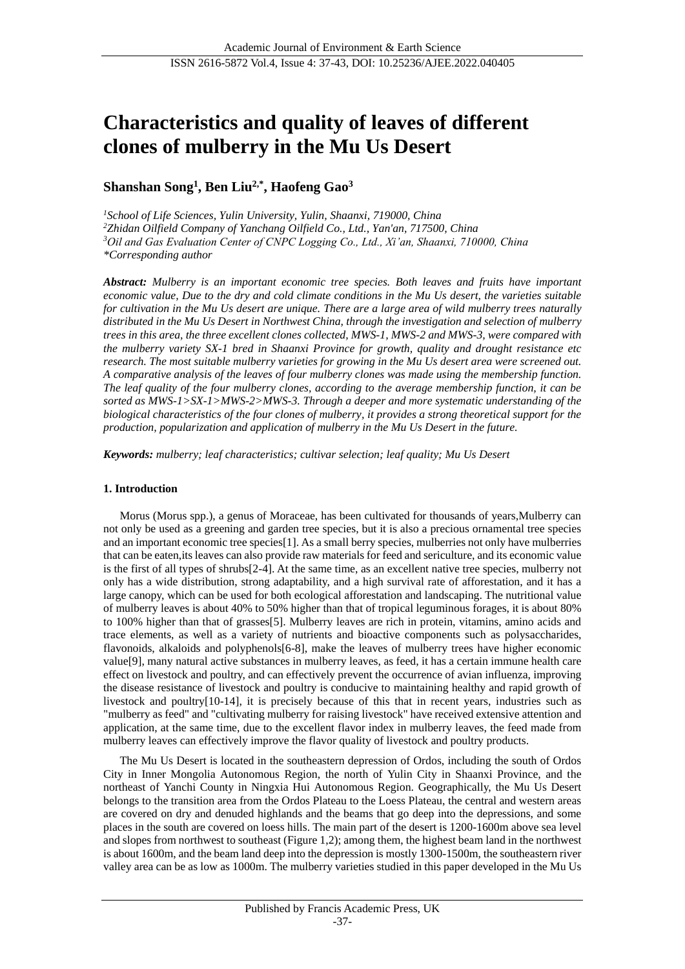# **Characteristics and quality of leaves of different clones of mulberry in the Mu Us Desert**

## **Shanshan Song<sup>1</sup> , Ben Liu2,\* , Haofeng Gao<sup>3</sup>**

*School of Life Sciences, Yulin University, Yulin, Shaanxi, 719000, China Zhidan Oilfield Company of Yanchang Oilfield Co., Ltd., Yan'an, 717500, China Oil and Gas Evaluation Center of CNPC Logging Co., Ltd., Xi'an, Shaanxi, 710000, China \*Corresponding author*

*Abstract: Mulberry is an important economic tree species. Both leaves and fruits have important economic value, Due to the dry and cold climate conditions in the Mu Us desert, the varieties suitable for cultivation in the Mu Us desert are unique. There are a large area of wild mulberry trees naturally distributed in the Mu Us Desert in Northwest China, through the investigation and selection of mulberry trees in this area, the three excellent clones collected, MWS-1, MWS-2 and MWS-3, were compared with the mulberry variety SX-1 bred in Shaanxi Province for growth, quality and drought resistance etc research. The most suitable mulberry varieties for growing in the Mu Us desert area were screened out. A comparative analysis of the leaves of four mulberry clones was made using the membership function. The leaf quality of the four mulberry clones, according to the average membership function, it can be sorted as MWS-1>SX-1>MWS-2>MWS-3. Through a deeper and more systematic understanding of the biological characteristics of the four clones of mulberry, it provides a strong theoretical support for the production, popularization and application of mulberry in the Mu Us Desert in the future.*

*Keywords: mulberry; leaf characteristics; cultivar selection; leaf quality; Mu Us Desert*

## **1. Introduction**

Morus (Morus spp.), a genus of Moraceae, has been cultivated for thousands of years,Mulberry can not only be used as a greening and garden tree species, but it is also a precious ornamental tree species and an important economic tree species[1]. As a small berry species, mulberries not only have mulberries that can be eaten,its leaves can also provide raw materials for feed and sericulture, and its economic value is the first of all types of shrubs[2-4]. At the same time, as an excellent native tree species, mulberry not only has a wide distribution, strong adaptability, and a high survival rate of afforestation, and it has a large canopy, which can be used for both ecological afforestation and landscaping. The nutritional value of mulberry leaves is about 40% to 50% higher than that of tropical leguminous forages, it is about 80% to 100% higher than that of grasses[5]. Mulberry leaves are rich in protein, vitamins, amino acids and trace elements, as well as a variety of nutrients and bioactive components such as polysaccharides, flavonoids, alkaloids and polyphenols[6-8], make the leaves of mulberry trees have higher economic value[9], many natural active substances in mulberry leaves, as feed, it has a certain immune health care effect on livestock and poultry, and can effectively prevent the occurrence of avian influenza, improving the disease resistance of livestock and poultry is conducive to maintaining healthy and rapid growth of livestock and poultry[10-14], it is precisely because of this that in recent years, industries such as "mulberry as feed" and "cultivating mulberry for raising livestock" have received extensive attention and application, at the same time, due to the excellent flavor index in mulberry leaves, the feed made from mulberry leaves can effectively improve the flavor quality of livestock and poultry products.

The Mu Us Desert is located in the southeastern depression of Ordos, including the south of Ordos City in Inner Mongolia Autonomous Region, the north of Yulin City in Shaanxi Province, and the northeast of Yanchi County in Ningxia Hui Autonomous Region. Geographically, the Mu Us Desert belongs to the transition area from the Ordos Plateau to the Loess Plateau, the central and western areas are covered on dry and denuded highlands and the beams that go deep into the depressions, and some places in the south are covered on loess hills. The main part of the desert is 1200-1600m above sea level and slopes from northwest to southeast (Figure 1,2); among them, the highest beam land in the northwest is about 1600m, and the beam land deep into the depression is mostly 1300-1500m, the southeastern river valley area can be as low as 1000m. The mulberry varieties studied in this paper developed in the Mu Us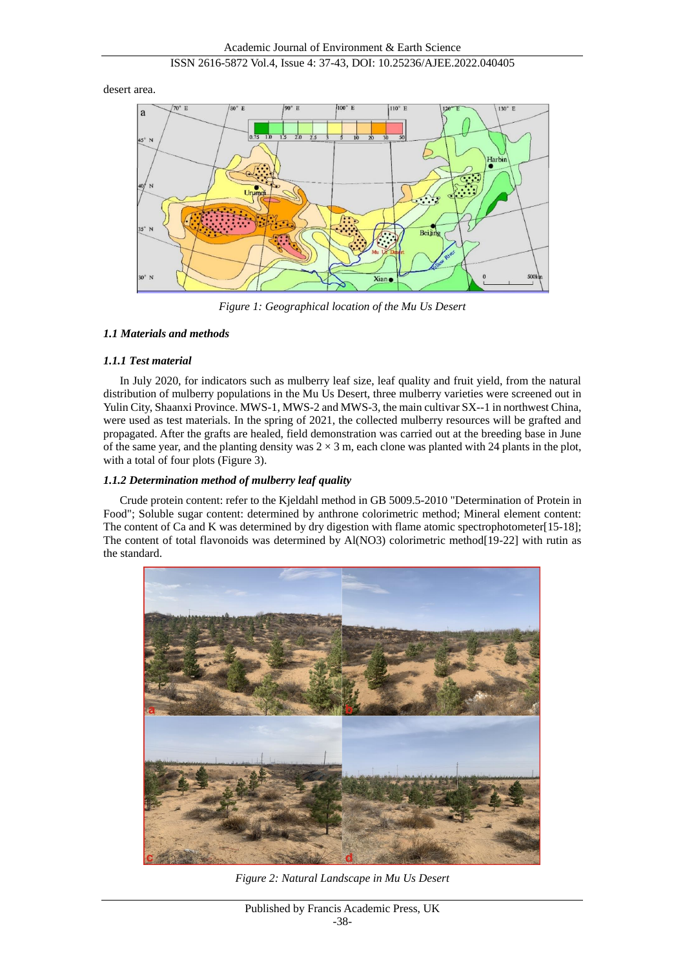desert area.



*Figure 1: Geographical location of the Mu Us Desert*

## *1.1 Materials and methods*

## *1.1.1 Test material*

In July 2020, for indicators such as mulberry leaf size, leaf quality and fruit yield, from the natural distribution of mulberry populations in the Mu Us Desert, three mulberry varieties were screened out in Yulin City, Shaanxi Province. MWS-1, MWS-2 and MWS-3, the main cultivar SX--1 in northwest China, were used as test materials. In the spring of 2021, the collected mulberry resources will be grafted and propagated. After the grafts are healed, field demonstration was carried out at the breeding base in June of the same year, and the planting density was  $2 \times 3$  m, each clone was planted with 24 plants in the plot, with a total of four plots (Figure 3).

## *1.1.2 Determination method of mulberry leaf quality*

Crude protein content: refer to the Kjeldahl method in GB 5009.5-2010 "Determination of Protein in Food"; Soluble sugar content: determined by anthrone colorimetric method; Mineral element content: The content of Ca and K was determined by dry digestion with flame atomic spectrophotometer[15-18]; The content of total flavonoids was determined by Al(NO3) colorimetric method[19-22] with rutin as the standard.



*Figure 2: Natural Landscape in Mu Us Desert*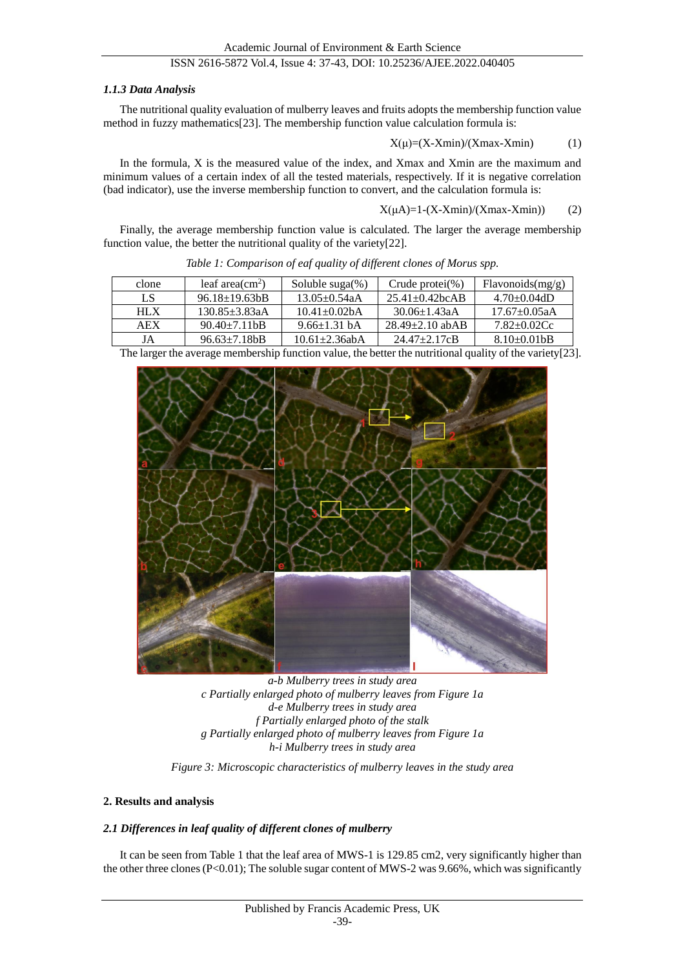## *1.1.3 Data Analysis*

The nutritional quality evaluation of mulberry leaves and fruits adopts the membership function value method in fuzzy mathematics[23]. The membership function value calculation formula is:

$$
X(\mu) = (X - X \min) / (X \max - X \min) \tag{1}
$$

In the formula, X is the measured value of the index, and Xmax and Xmin are the maximum and minimum values of a certain index of all the tested materials, respectively. If it is negative correlation (bad indicator), use the inverse membership function to convert, and the calculation formula is:

$$
X(\mu A) = 1 - (X - X \min) / (X \max - X \min)) \tag{2}
$$

Finally, the average membership function value is calculated. The larger the average membership function value, the better the nutritional quality of the variety[22].

| clone | leaf area $\text{cm}^2$ )  | Soluble $suga(\%)$ | Crude protei $(\% )$     | Flavonoids(mg/g) |
|-------|----------------------------|--------------------|--------------------------|------------------|
| LS    | $96.18 + 19.63$            | $13.05 + 0.54aA$   | $25.41 + 0.42$ bc A B    | $4.70 + 0.04dD$  |
| HIX   | $130.85 + 3.83aA$          | $10.41 + 0.02hA$   | $30.06 + 1.43a$ A        | $17.67 + 0.05aA$ |
| AEX   | $90.40 + 7.11$ hB          | $9.66 \pm 1.31$ bA | $28.49 + 2.10$ abAB      | $7.82 + 0.02$ Cc |
| JA    | $96.63 \pm 7.18 \text{b}B$ | $10.61 + 2.36$ abA | $24.47 + 2.17 \text{cB}$ | $8.10 - 0.01$ bB |

*Table 1: Comparison of eaf quality of different clones of Morus spp.*

| The larger the average membership function value, the better the nutritional quality of the variety [23]. |  |  |
|-----------------------------------------------------------------------------------------------------------|--|--|
|                                                                                                           |  |  |



*a-b Mulberry trees in study area c Partially enlarged photo of mulberry leaves from Figure 1a d-e Mulberry trees in study area f Partially enlarged photo of the stalk g Partially enlarged photo of mulberry leaves from Figure 1a h-i Mulberry trees in study area*

*Figure 3: Microscopic characteristics of mulberry leaves in the study area*

## **2. Results and analysis**

## *2.1 Differences in leaf quality of different clones of mulberry*

It can be seen from Table 1 that the leaf area of MWS-1 is 129.85 cm2, very significantly higher than the other three clones (P<0.01); The soluble sugar content of MWS-2 was 9.66%, which was significantly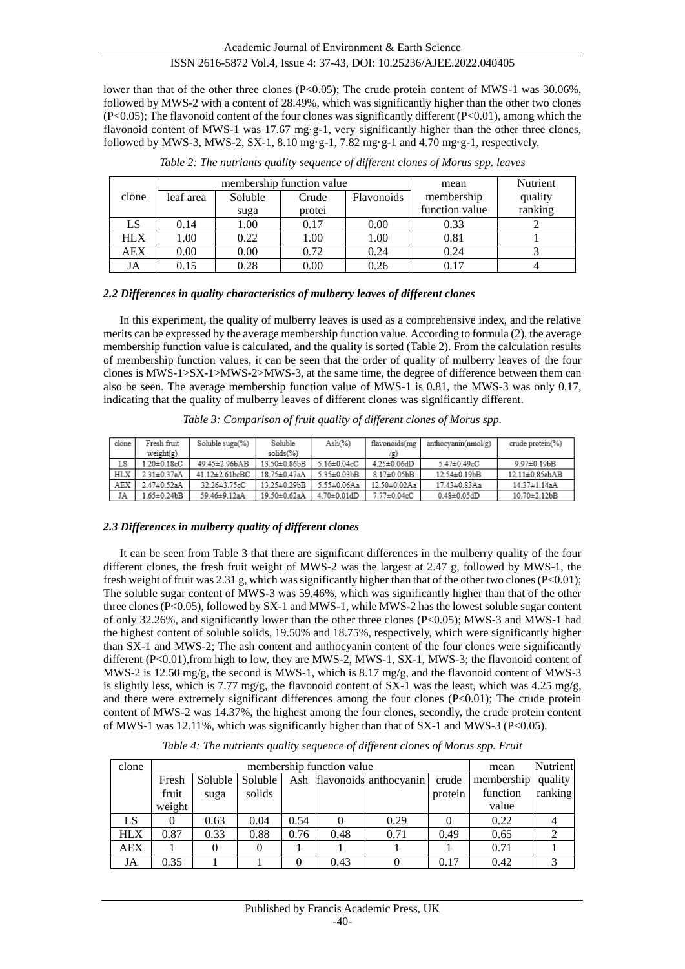lower than that of the other three clones (P<0.05); The crude protein content of MWS-1 was 30.06%, followed by MWS-2 with a content of 28.49%, which was significantly higher than the other two clones  $(P<0.05)$ ; The flavonoid content of the four clones was significantly different  $(P<0.01)$ , among which the flavonoid content of MWS-1 was 17.67 mg  $g-1$ , very significantly higher than the other three clones, followed by MWS-3, MWS-2, SX-1, 8.10 mg  $g-1$ , 7.82 mg  $g-1$  and 4.70 mg  $g-1$ , respectively.

|            |           | membership function value | mean   | Nutrient          |                |         |
|------------|-----------|---------------------------|--------|-------------------|----------------|---------|
| clone      | leaf area | Soluble                   | Crude  | <b>Flavonoids</b> | membership     | quality |
|            |           | suga                      | protei |                   | function value | ranking |
| LS         | 0.14      | 1.00                      | 0.17   | 0.00              | 0.33           |         |
| <b>HLX</b> | 1.00      | 0.22                      | 1.00   | 1.00              | 0.81           |         |
| AEX        | 0.00      | 0.00                      | 0.72   | 0.24              | 0.24           |         |
| JA         | 0.15      | 0.28                      | 0.00   | 0.26              | 0.17           |         |

*Table 2: The nutriants quality sequence of different clones of Morus spp. leaves*

## *2.2 Differences in quality characteristics of mulberry leaves of different clones*

In this experiment, the quality of mulberry leaves is used as a comprehensive index, and the relative merits can be expressed by the average membership function value. According to formula (2), the average membership function value is calculated, and the quality is sorted (Table 2). From the calculation results of membership function values, it can be seen that the order of quality of mulberry leaves of the four clones is MWS-1>SX-1>MWS-2>MWS-3, at the same time, the degree of difference between them can also be seen. The average membership function value of MWS-1 is 0.81, the MWS-3 was only 0.17, indicating that the quality of mulberry leaves of different clones was significantly different.

| clone | Fresh fruit | Soluble suga(%)       | Soluble      | $Ash(\%)$          | flavonoids(mg      | anthocvanin(nmol/g) | crude protein $(\%)$ |
|-------|-------------|-----------------------|--------------|--------------------|--------------------|---------------------|----------------------|
|       | weight(g)   |                       | solids(%)    |                    | /g)                |                     |                      |
| LS    | 1.20±0.18cC | 49 45±2 96bAB         | 13 50±0 86bB | $5.16 \pm 0.04$ cC | $4.25 \pm 0.06$ dD | $5.47 \pm 0.49$ cC  | 9.97±0.19bB          |
| HLX   | 2.31±0.37aA | $41.12 \pm 2.61$ bcBC | 18.75±0.47aA | 5.35±0.03bB        | $8.17 \pm 0.05$ bB | 12.54±0.19bB        | 12.11±0.85abAB       |
| AEX   | 2.47±0.52aA | 32.26±3.75cC          | 13.25±0.29bB | 5.55±0.06Aa        | 12.50±0.02Aa       | 17.43±0.83Aa        | 14.37±1.14aA         |

59.46±9.12aA 19.50±0.62aA 4.70±0.01dD 7.77±0.04cC

*Table 3: Comparison of fruit quality of different clones of Morus spp.*

 $0.48 \pm 0.05$ dD

10 70±2 12bB

## *2.3 Differences in mulberry quality of different clones*

JA.

 $1.65 \pm 0.24$ 

It can be seen from Table 3 that there are significant differences in the mulberry quality of the four different clones, the fresh fruit weight of MWS-2 was the largest at 2.47 g, followed by MWS-1, the fresh weight of fruit was 2.31 g, which was significantly higher than that of the other two clones (P<0.01); The soluble sugar content of MWS-3 was 59.46%, which was significantly higher than that of the other three clones (P<0.05), followed by SX-1 and MWS-1, while MWS-2 has the lowest soluble sugar content of only 32.26%, and significantly lower than the other three clones (P<0.05); MWS-3 and MWS-1 had the highest content of soluble solids, 19.50% and 18.75%, respectively, which were significantly higher than SX-1 and MWS-2; The ash content and anthocyanin content of the four clones were significantly different (P<0.01),from high to low, they are MWS-2, MWS-1, SX-1, MWS-3; the flavonoid content of MWS-2 is 12.50 mg/g, the second is MWS-1, which is 8.17 mg/g, and the flavonoid content of MWS-3 is slightly less, which is 7.77 mg/g, the flavonoid content of SX-1 was the least, which was 4.25 mg/g, and there were extremely significant differences among the four clones  $(P<0.01)$ ; The crude protein content of MWS-2 was 14.37%, the highest among the four clones, secondly, the crude protein content of MWS-1 was 12.11%, which was significantly higher than that of SX-1 and MWS-3 (P<0.05).

clone membership function value mean membership Fresh Soluble Soluble Ash flavonoids anthocyanin crude

*Table 4: The nutrients quality sequence of different clones of Morus spp. Fruit*

| clone      | membership function value |         |         |      |      |                            |         | mean               | Nutrient |
|------------|---------------------------|---------|---------|------|------|----------------------------|---------|--------------------|----------|
|            | Fresh                     | Soluble | Soluble |      |      | Ash flavonoids anthocyanin | crude   | membership quality |          |
|            | fruit                     | suga    | solids  |      |      |                            | protein | function           | ranking  |
|            | weight                    |         |         |      |      |                            |         | value              |          |
| LS         |                           | 0.63    | 0.04    | 0.54 |      | 0.29                       |         | 0.22               |          |
| <b>HLX</b> | 0.87                      | 0.33    | 0.88    | 0.76 | 0.48 | 0.71                       | 0.49    | 0.65               |          |
| AEX        |                           |         |         |      |      |                            |         | 0.71               |          |
| JA         | 0.35                      |         |         |      | 0.43 |                            | 0.17    | 0.42               |          |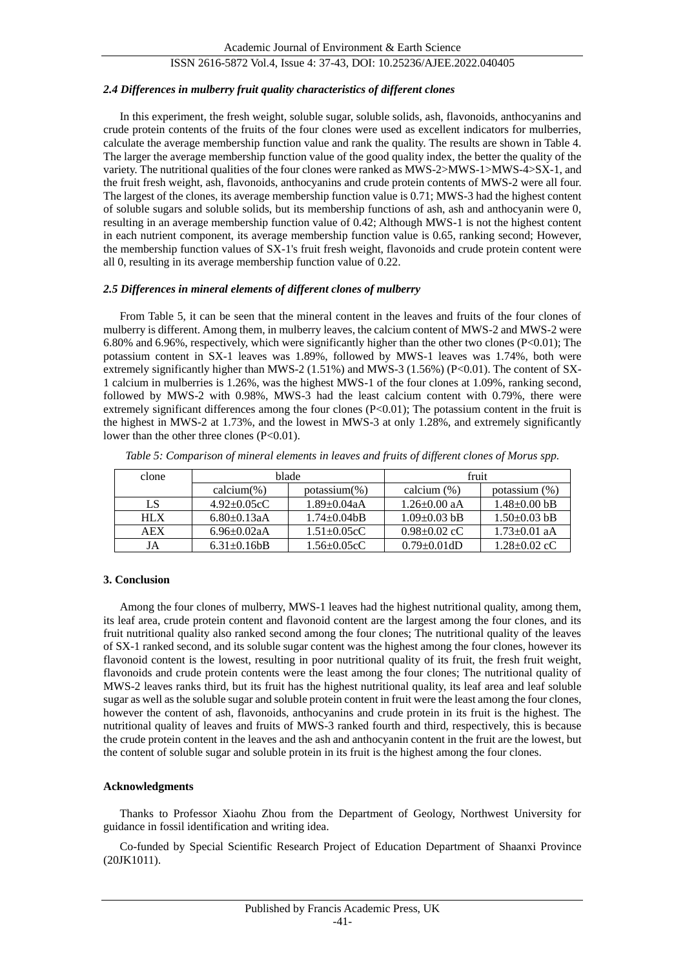#### *2.4 Differences in mulberry fruit quality characteristics of different clones*

In this experiment, the fresh weight, soluble sugar, soluble solids, ash, flavonoids, anthocyanins and crude protein contents of the fruits of the four clones were used as excellent indicators for mulberries, calculate the average membership function value and rank the quality. The results are shown in Table 4. The larger the average membership function value of the good quality index, the better the quality of the variety. The nutritional qualities of the four clones were ranked as MWS-2>MWS-1>MWS-4>SX-1, and the fruit fresh weight, ash, flavonoids, anthocyanins and crude protein contents of MWS-2 were all four. The largest of the clones, its average membership function value is 0.71; MWS-3 had the highest content of soluble sugars and soluble solids, but its membership functions of ash, ash and anthocyanin were 0, resulting in an average membership function value of 0.42; Although MWS-1 is not the highest content in each nutrient component, its average membership function value is 0.65, ranking second; However, the membership function values of SX-1's fruit fresh weight, flavonoids and crude protein content were all 0, resulting in its average membership function value of 0.22.

#### *2.5 Differences in mineral elements of different clones of mulberry*

From Table 5, it can be seen that the mineral content in the leaves and fruits of the four clones of mulberry is different. Among them, in mulberry leaves, the calcium content of MWS-2 and MWS-2 were 6.80% and 6.96%, respectively, which were significantly higher than the other two clones (P<0.01); The potassium content in SX-1 leaves was 1.89%, followed by MWS-1 leaves was 1.74%, both were extremely significantly higher than MWS-2 (1.51%) and MWS-3 (1.56%) (P<0.01). The content of SX-1 calcium in mulberries is 1.26%, was the highest MWS-1 of the four clones at 1.09%, ranking second, followed by MWS-2 with 0.98%, MWS-3 had the least calcium content with 0.79%, there were extremely significant differences among the four clones (P<0.01); The potassium content in the fruit is the highest in MWS-2 at 1.73%, and the lowest in MWS-3 at only 1.28%, and extremely significantly lower than the other three clones (P<0.01).

| clone      |                    | blade              | fruit              |                    |  |
|------------|--------------------|--------------------|--------------------|--------------------|--|
|            | calcium $(\%)$     | $potassium(\% )$   | calcium $(\%)$     | potassium $(\% )$  |  |
| LS         | $4.92 + 0.05cC$    | $1.89 + 0.04aA$    | $1.26 \pm 0.00$ aA | $1.48 + 0.00$ bB   |  |
| <b>HLX</b> | $6.80 + 0.13a$ A   | $1.74 + 0.04$ bB   | $1.09 + 0.03$ bB   | $1.50 + 0.03$ bB   |  |
| <b>AEX</b> | $6.96 \pm 0.02$ aA | $1.51 \pm 0.05$ cC | $0.98 + 0.02$ cC   | $1.73 + 0.01$ aA   |  |
| JA         | $6.31 \pm 0.16$    | $1.56 - 0.05cC$    | $0.79 + 0.01dD$    | $1.28 \pm 0.02$ cC |  |

*Table 5: Comparison of mineral elements in leaves and fruits of different clones of Morus spp.*

#### **3. Conclusion**

Among the four clones of mulberry, MWS-1 leaves had the highest nutritional quality, among them, its leaf area, crude protein content and flavonoid content are the largest among the four clones, and its fruit nutritional quality also ranked second among the four clones; The nutritional quality of the leaves of SX-1 ranked second, and its soluble sugar content was the highest among the four clones, however its flavonoid content is the lowest, resulting in poor nutritional quality of its fruit, the fresh fruit weight, flavonoids and crude protein contents were the least among the four clones; The nutritional quality of MWS-2 leaves ranks third, but its fruit has the highest nutritional quality, its leaf area and leaf soluble sugar as well as the soluble sugar and soluble protein content in fruit were the least among the four clones, however the content of ash, flavonoids, anthocyanins and crude protein in its fruit is the highest. The nutritional quality of leaves and fruits of MWS-3 ranked fourth and third, respectively, this is because the crude protein content in the leaves and the ash and anthocyanin content in the fruit are the lowest, but the content of soluble sugar and soluble protein in its fruit is the highest among the four clones.

## **Acknowledgments**

Thanks to Professor Xiaohu Zhou from the Department of Geology, Northwest University for guidance in fossil identification and writing idea.

Co-funded by Special Scientific Research Project of Education Department of Shaanxi Province (20JK1011).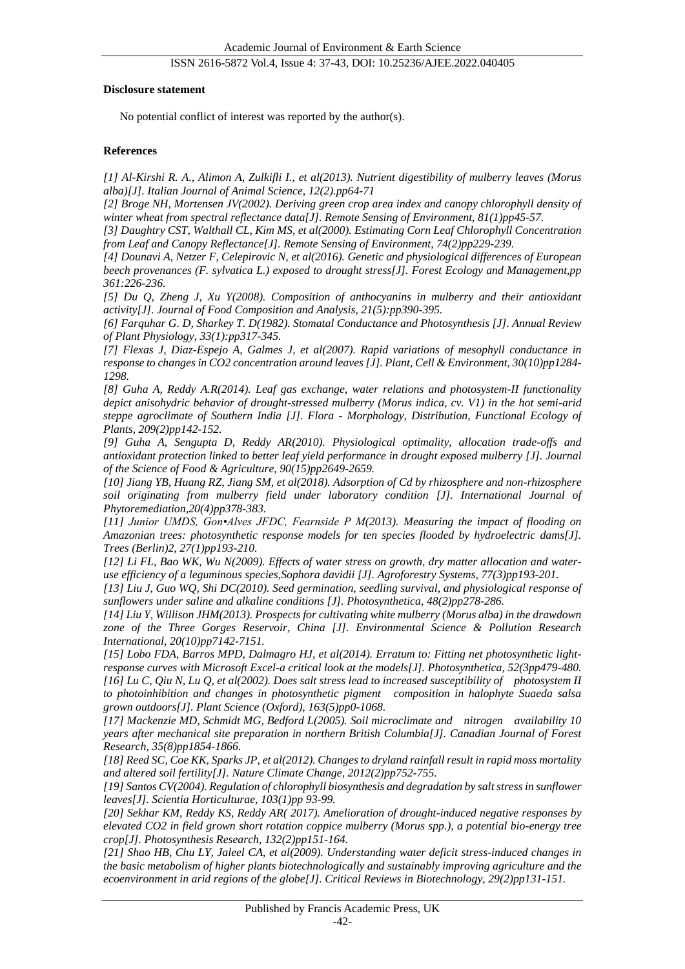#### **Disclosure statement**

No potential conflict of interest was reported by the author(s).

## **References**

*[1] Al-Kirshi R. A., Alimon A, Zulkifli I., et al(2013). Nutrient digestibility of mulberry leaves (Morus alba)[J]. Italian Journal of Animal Science, 12(2).pp64-71*

*[2] Broge NH, Mortensen JV(2002). Deriving green crop area index and canopy chlorophyll density of winter wheat from spectral reflectance data[J]. Remote Sensing of Environment, 81(1)pp45-57.* 

*[3] Daughtry CST, Walthall CL, Kim MS, et al(2000). Estimating Corn Leaf Chlorophyll Concentration from Leaf and Canopy Reflectance[J]. Remote Sensing of Environment, 74(2)pp229-239.* 

*[4] Dounavi A, Netzer F, Celepirovic N, et al(2016). Genetic and physiological differences of European beech provenances (F. sylvatica L.) exposed to drought stress[J]. Forest Ecology and Management,pp 361:226-236.* 

*[5] Du Q, Zheng J, Xu Y(2008). Composition of anthocyanins in mulberry and their antioxidant activity[J]. Journal of Food Composition and Analysis, 21(5):pp390-395.* 

*[6] Farquhar G. D, Sharkey T. D(1982). Stomatal Conductance and Photosynthesis [J]. Annual Review of Plant Physiology, 33(1):pp317-345.*

*[7] Flexas J, Diaz-Espejo A, Galmes J, et al(2007). Rapid variations of mesophyll conductance in response to changes in CO2 concentration around leaves [J]. Plant, Cell & Environment, 30(10)pp1284- 1298.* 

*[8] Guha A, Reddy A.R(2014). Leaf gas exchange, water relations and photosystem-II functionality depict anisohydric behavior of drought-stressed mulberry (Morus indica, cv. V1) in the hot semi-arid steppe agroclimate of Southern India [J]. Flora - Morphology, Distribution, Functional Ecology of Plants, 209(2)pp142-152.* 

*[9] Guha A, Sengupta D, Reddy AR(2010). Physiological optimality, allocation trade-offs and antioxidant protection linked to better leaf yield performance in drought exposed mulberry [J]. Journal of the Science of Food & Agriculture, 90(15)pp2649-2659.* 

*[10] Jiang YB, Huang RZ, Jiang SM, et al(2018). Adsorption of Cd by rhizosphere and non-rhizosphere soil originating from mulberry field under laboratory condition [J]. International Journal of Phytoremediation,20(4)pp378-383.*

*[11] Junior UMDS, Gon•Alves JFDC, Fearnside P M(2013). Measuring the impact of flooding on Amazonian trees: photosynthetic response models for ten species flooded by hydroelectric dams[J]. Trees (Berlin)2, 27(1)pp193-210.* 

*[12] Li FL, Bao WK, Wu N(2009). Effects of water stress on growth, dry matter allocation and wateruse efficiency of a leguminous species,Sophora davidii [J]. Agroforestry Systems, 77(3)pp193-201.* 

*[13] Liu J, Guo WQ, Shi DC(2010). Seed germination, seedling survival, and physiological response of sunflowers under saline and alkaline conditions [J]. Photosynthetica, 48(2)pp278-286.* 

*[14] Liu Y, Willison JHM(2013). Prospects for cultivating white mulberry (Morus alba) in the drawdown zone of the Three Gorges Reservoir, China [J]. Environmental Science & Pollution Research International, 20(10)pp7142-7151.* 

*[15] Lobo FDA, Barros MPD, Dalmagro HJ, et al(2014). Erratum to: Fitting net photosynthetic lightresponse curves with Microsoft Excel-a critical look at the models[J]. Photosynthetica, 52(3pp479-480. [16] Lu C, Qiu N, Lu Q, et al(2002). Does salt stress lead to increased susceptibility of photosystem II to photoinhibition and changes in photosynthetic pigment composition in halophyte Suaeda salsa grown outdoors[J]. Plant Science (Oxford), 163(5)pp0-1068.* 

*[17] Mackenzie MD, Schmidt MG, Bedford L(2005). Soil microclimate and nitrogen availability 10 years after mechanical site preparation in northern British Columbia[J]. Canadian Journal of Forest Research, 35(8)pp1854-1866.* 

*[18] Reed SC, Coe KK, Sparks JP, et al(2012). Changes to dryland rainfall result in rapid moss mortality and altered soil fertility[J]. Nature Climate Change, 2012(2)pp752-755.* 

*[19] Santos CV(2004). Regulation of chlorophyll biosynthesis and degradation by salt stress in sunflower leaves[J]. Scientia Horticulturae, 103(1)pp 93-99.* 

*[20] Sekhar KM, Reddy KS, Reddy AR( 2017). Amelioration of drought-induced negative responses by elevated CO2 in field grown short rotation coppice mulberry (Morus spp.), a potential bio-energy tree crop[J]. Photosynthesis Research, 132(2)pp151-164.* 

*[21] Shao HB, Chu LY, Jaleel CA, et al(2009). Understanding water deficit stress-induced changes in the basic metabolism of higher plants biotechnologically and sustainably improving agriculture and the ecoenvironment in arid regions of the globe[J]. Critical Reviews in Biotechnology, 29(2)pp131-151.*